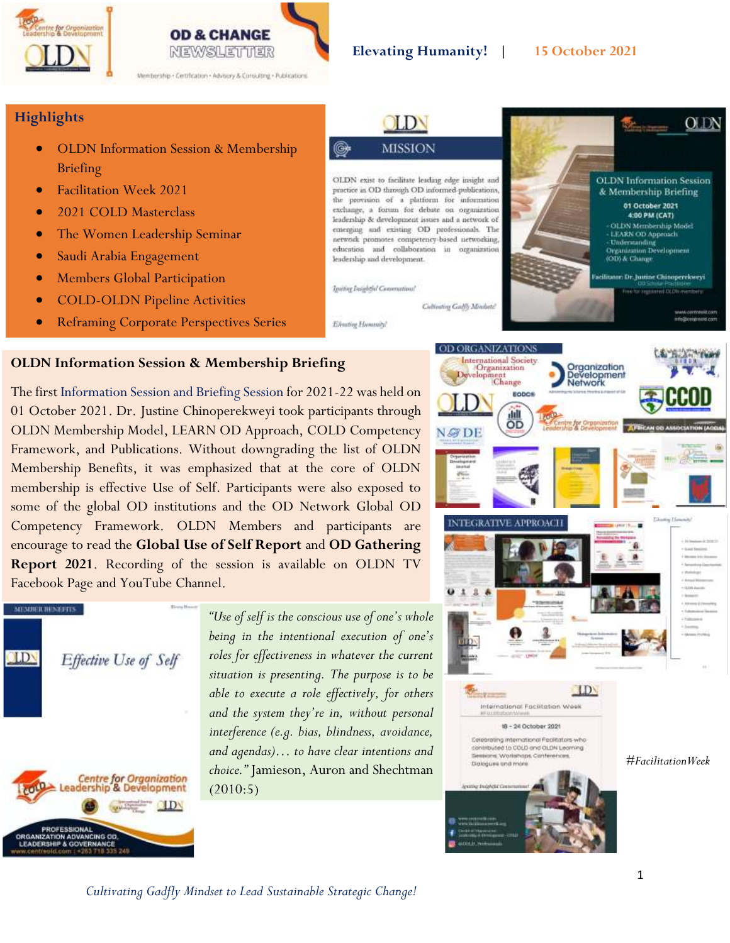



### **Elevating Humanity! | 15 October 2021**

### **Highlights**

- OLDN Information Session & Membership Briefing
- Facilitation Week 2021
- 2021 COLD Masterclass
- The Women Leadership Seminar
- Saudi Arabia Engagement
- Members Global Participation
- COLD-OLDN Pipeline Activities
- Reframing Corporate Perspectives Series



### **OLDN Information Session & Membership Briefing**

The first Information Session and Briefing Session for 2021-22 was held on 01 October 2021. Dr. Justine Chinoperekweyi took participants through OLDN Membership Model, LEARN OD Approach, COLD Competency Framework, and Publications. Without downgrading the list of OLDN Membership Benefits, it was emphasized that at the core of OLDN membership is effective Use of Self. Participants were also exposed to some of the global OD institutions and the OD Network Global OD Competency Framework. OLDN Members and participants are encourage to read the **Global Use of Self Report** and **OD Gathering Report 2021**. Recording of the session is available on OLDN TV Facebook Page and YouTube Channel.



*"Use of self is the conscious use of one's whole being in the intentional execution of one's roles for effectiveness in whatever the current situation is presenting. The purpose is to be able to execute a role effectively, for others and the system they're in, without personal interference (e.g. bias, blindness, avoidance, and agendas)… to have clear intentions and choice."* Jamieson, Auron and Shechtman (2010:5)

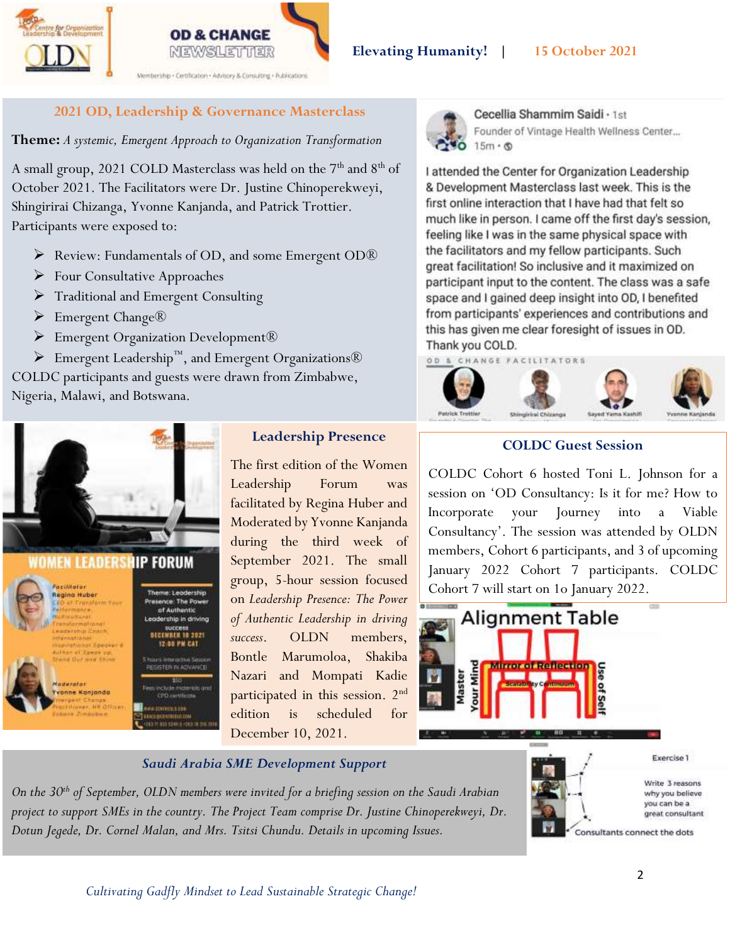



Nembership . Cerofication . Advisory & Consulting . Publications

# **2021 OD, Leadership & Governance Masterclass**

**Theme:** *A systemic, Emergent Approach to Organization Transformation*

A small group, 2021 COLD Masterclass was held on the 7<sup>th</sup> and 8<sup>th</sup> of October 2021. The Facilitators were Dr. Justine Chinoperekweyi, Shingirirai Chizanga, Yvonne Kanjanda, and Patrick Trottier. Participants were exposed to:

- ➢ Review: Fundamentals of OD, and some Emergent OD®
- ➢ Four Consultative Approaches
- ➢ Traditional and Emergent Consulting
- ➢ Emergent Change®
- ➢ Emergent Organization Development®

➢ Emergent Leadership™, and Emergent Organizations® COLDC participants and guests were drawn from Zimbabwe, Nigeria, Malawi, and Botswana.



# **Leadership Presence**

The first edition of the Women Leadership Forum was facilitated by Regina Huber and Moderated by Yvonne Kanjanda during the third week of September 2021. The small group, 5-hour session focused on *Leadership Presence: The Power of Authentic Leadership in driving success*. OLDN members, Bontle Marumoloa, Shakiba Nazari and Mompati Kadie participated in this session. 2nd edition is scheduled for December 10, 2021.



Cecellia Shammim Saidi · 1st Founder of Vintage Health Wellness Center...  $15m \cdot \circledcirc$ 

I attended the Center for Organization Leadership & Development Masterclass last week. This is the first online interaction that I have had that felt so much like in person. I came off the first day's session, feeling like I was in the same physical space with the facilitators and my fellow participants. Such great facilitation! So inclusive and it maximized on participant input to the content. The class was a safe space and I gained deep insight into OD, I benefited from participants' experiences and contributions and this has given me clear foresight of issues in OD. Thank you COLD.

OD & CHANGE FACILITATORS



# **COLDC Guest Session**

COLDC Cohort 6 hosted Toni L. Johnson for a session on 'OD Consultancy: Is it for me? How to Incorporate your Journey into a Viable Consultancy'. The session was attended by OLDN members, Cohort 6 participants, and 3 of upcoming January 2022 Cohort 7 participants. COLDC Cohort 7 will start on 1o January 2022.



## *Saudi Arabia SME Development Support*

*On the 30th of September, OLDN members were invited for a briefing session on the Saudi Arabian project to support SMEs in the country. The Project Team comprise Dr. Justine Chinoperekweyi, Dr. Dotun Jegede, Dr. Cornel Malan, and Mrs. Tsitsi Chundu. Details in upcoming Issues.*